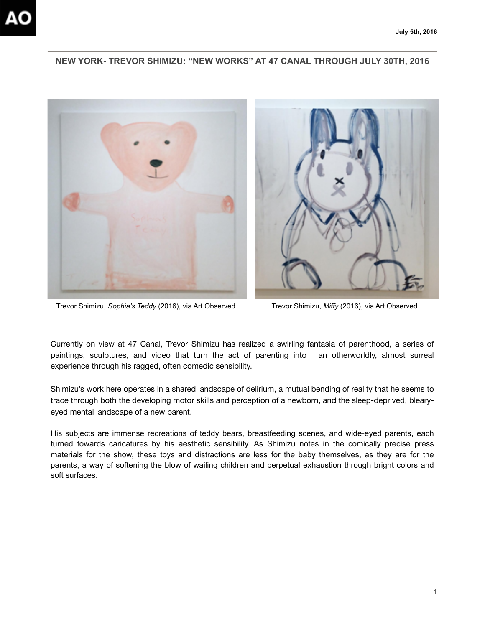## **NEW YORK- TREVOR SHIMIZU: "NEW WORKS" AT 47 CANAL THROUGH JULY 30TH, 2016**





Trevor Shimizu, *Sophia's Teddy* (2016), via Art Observed Trevor Shimizu, *Miffy* (2016), via Art Observed

Currently on view at 47 Canal, Trevor Shimizu has realized a swirling fantasia of parenthood, a series of paintings, sculptures, and video that turn the act of parenting into an otherworldly, almost surreal experience through his ragged, often comedic sensibility.

Shimizu's work here operates in a shared landscape of delirium, a mutual bending of reality that he seems to trace through both the developing motor skills and perception of a newborn, and the sleep-deprived, blearyeyed mental landscape of a new parent.

His subjects are immense recreations of teddy bears, breastfeeding scenes, and wide-eyed parents, each turned towards caricatures by his aesthetic sensibility. As Shimizu notes in the comically precise press materials for the show, these toys and distractions are less for the baby themselves, as they are for the parents, a way of softening the blow of wailing children and perpetual exhaustion through bright colors and soft surfaces.